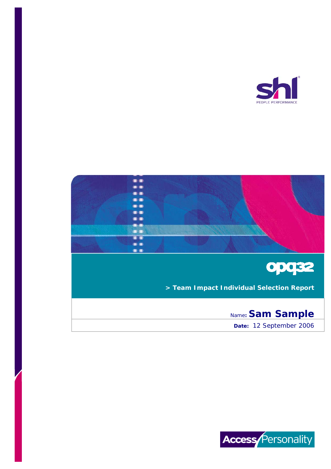





**> Team Impact Individual Selection Report** 

# Name**: Sam Sample**

**Date:** 12 September 2006

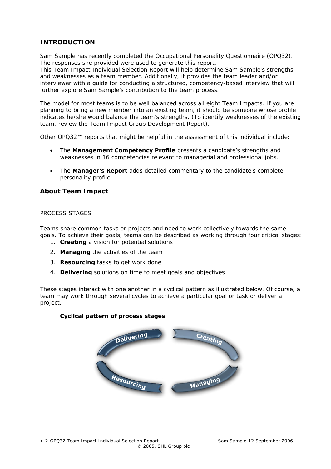# **INTRODUCTION**

Sam Sample has recently completed the Occupational Personality Questionnaire (OPQ32). The responses she provided were used to generate this report.

This Team Impact Individual Selection Report will help determine Sam Sample's strengths and weaknesses as a team member. Additionally, it provides the team leader and/or interviewer with a guide for conducting a structured, competency-based interview that will further explore Sam Sample's contribution to the team process.

The model for most teams is to be well balanced across all eight Team Impacts. If you are planning to bring a new member into an existing team, it should be someone whose profile indicates he/she would balance the team's strengths. (To identify weaknesses of the existing team, review the Team Impact Group Development Report).

Other OPQ32™ reports that might be helpful in the assessment of this individual include:

- The **Management Competency Profile** presents a candidate's strengths and weaknesses in 16 competencies relevant to managerial and professional jobs.
- The **Manager's Report** adds detailed commentary to the candidate's complete personality profile.

# **About Team Impact**

### PROCESS STAGES

Teams share common tasks or projects and need to work collectively towards the same goals. To achieve their goals, teams can be described as working through four critical stages:

- 1. **Creating** a vision for potential solutions
- 2. **Managing** the activities of the team
- 3. **Resourcing** tasks to get work done
- 4. **Delivering** solutions on time to meet goals and objectives

These stages interact with one another in a cyclical pattern as illustrated below. Of course, a team may work through several cycles to achieve a particular goal or task or deliver a project.

### **Cyclical pattern of process stages**

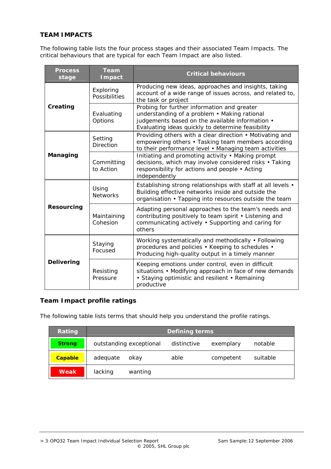# **TEAM IMPACTS**

The following table lists the four process stages and their associated Team Impacts. The critical behaviours that are typical for each Team Impact are also listed.

| <b>Process</b><br>stage | <b>Team</b><br><b>I</b> mpact | <b>Critical behaviours</b>                                                                                                                                                                          |  |
|-------------------------|-------------------------------|-----------------------------------------------------------------------------------------------------------------------------------------------------------------------------------------------------|--|
|                         | Exploring<br>Possibilities    | Producing new ideas, approaches and insights, taking<br>account of a wide range of issues across, and related to,<br>the task or project                                                            |  |
| Creating                | Evaluating<br>Options         | Probing for further information and greater<br>understanding of a problem • Making rational<br>judgements based on the available information .<br>Evaluating ideas quickly to determine feasibility |  |
|                         | Setting<br><b>Direction</b>   | Providing others with a clear direction • Motivating and<br>empowering others • Tasking team members according<br>to their performance level . Managing team activities                             |  |
| Managing                | Committing<br>to Action       | Initiating and promoting activity • Making prompt<br>decisions, which may involve considered risks • Taking<br>responsibility for actions and people • Acting<br>independently                      |  |
|                         | Using<br><b>Networks</b>      | Establishing strong relationships with staff at all levels •<br>Building effective networks inside and outside the<br>organisation • Tapping into resources outside the team                        |  |
| <b>Resourcing</b>       | Maintaining<br>Cohesion       | Adapting personal approaches to the team's needs and<br>contributing positively to team spirit • Listening and<br>communicating actively • Supporting and caring for<br>others                      |  |
|                         | Staying<br>Focused            | Working systematically and methodically • Following<br>procedures and policies • Keeping to schedules •<br>Producing high-quality output in a timely manner                                         |  |
| <b>Delivering</b>       | Resisting<br>Pressure         | Keeping emotions under control, even in difficult<br>situations • Modifying approach in face of new demands<br>• Staying optimistic and resilient • Remaining<br>productive                         |  |

# **Team Impact profile ratings**

The following table lists terms that should help you understand the profile ratings.

| Rating         |          | <b>Defining terms</b>   |      |           |          |  |  |
|----------------|----------|-------------------------|------|-----------|----------|--|--|
| <b>Strong</b>  |          | outstanding exceptional |      | exemplary | notable  |  |  |
| <b>Capable</b> | adequate | okay                    | able | competent | suitable |  |  |
| <b>Weak</b>    | lacking  | wanting                 |      |           |          |  |  |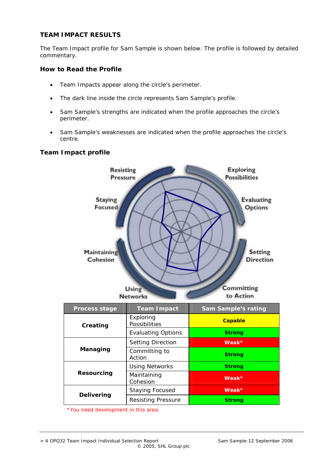## **TEAM IMPACT RESULTS**

The Team Impact profile for Sam Sample is shown below. The profile is followed by detailed commentary.

### **How to Read the Profile**

- Team Impacts appear along the circle's perimeter.
- The dark line inside the circle represents Sam Sample's profile.
- Sam Sample's strengths are indicated when the profile approaches the circle's perimeter.
- Sam Sample's weaknesses are indicated when the profile approaches the circle's centre.

### **Team Impact profile**



*\*You need development in this area.*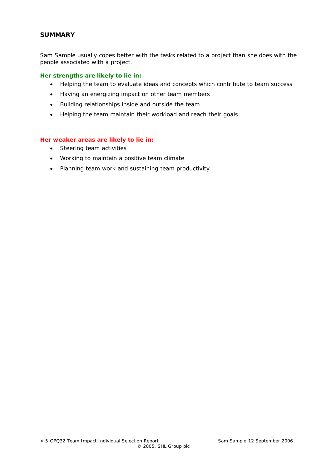### **SUMMARY**

Sam Sample usually copes better with the tasks related to a project than she does with the people associated with a project.

### **Her strengths are likely to lie in:**

- Helping the team to evaluate ideas and concepts which contribute to team success
- Having an energizing impact on other team members
- Building relationships inside and outside the team
- Helping the team maintain their workload and reach their goals

### **Her weaker areas are likely to lie in:**

- Steering team activities
- Working to maintain a positive team climate
- Planning team work and sustaining team productivity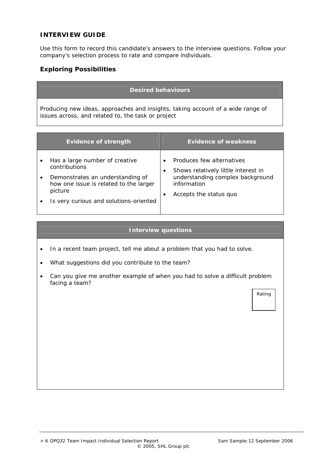### **INTERVIEW GUIDE**

Use this form to record this candidate's answers to the interview questions. Follow your company's selection process to rate and compare individuals.

### **Exploring Possibilities**

### **Desired behaviours**

Producing new ideas, approaches and insights, taking account of a wide range of issues across, and related to, the task or project

| <b>Evidence of strength</b>                                                                                                                                                        | <b>Evidence of weakness</b>                                                                                                                   |
|------------------------------------------------------------------------------------------------------------------------------------------------------------------------------------|-----------------------------------------------------------------------------------------------------------------------------------------------|
| Has a large number of creative<br>contributions<br>Demonstrates an understanding of<br>how one issue is related to the larger<br>picture<br>Is very curious and solutions-oriented | Produces few alternatives<br>Shows relatively little interest in<br>understanding complex background<br>information<br>Accepts the status quo |

#### **Interview questions**

- In a recent team project, tell me about a problem that you had to solve.
- What suggestions did you contribute to the team?
- Can you give me another example of when you had to solve a difficult problem facing a team?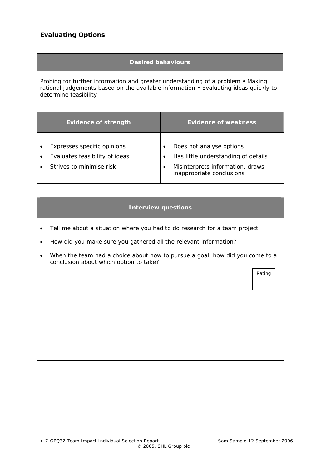# **Evaluating Options**

### **Desired behaviours**

Probing for further information and greater understanding of a problem • Making rational judgements based on the available information • Evaluating ideas quickly to determine feasibility

| <b>Evidence of strength</b> |                                | <b>Evidence of weakness</b> |                                                               |
|-----------------------------|--------------------------------|-----------------------------|---------------------------------------------------------------|
|                             |                                |                             |                                                               |
|                             | Expresses specific opinions    |                             | Does not analyse options                                      |
|                             | Evaluates feasibility of ideas |                             | Has little understanding of details                           |
|                             | Strives to minimise risk       |                             | Misinterprets information, draws<br>inappropriate conclusions |

### **Interview questions**

- Tell me about a situation where you had to do research for a team project.
- How did you make sure you gathered all the relevant information?
- When the team had a choice about how to pursue a goal, how did you come to a conclusion about which option to take?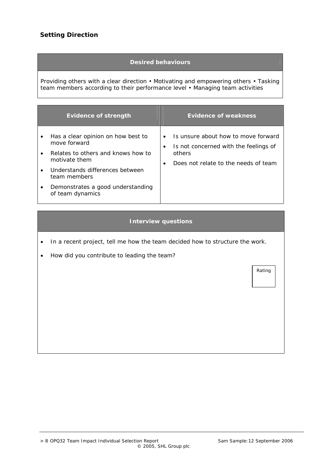# **Setting Direction**

### **Desired behaviours**

Providing others with a clear direction • Motivating and empowering others • Tasking team members according to their performance level • Managing team activities

| <b>Evidence of strength</b> |                                                       | <b>Evidence of weakness</b>                                                               |  |  |
|-----------------------------|-------------------------------------------------------|-------------------------------------------------------------------------------------------|--|--|
| ٠                           | Has a clear opinion on how best to<br>move forward    | Is unsure about how to move forward<br>Is not concerned with the feelings of<br>$\bullet$ |  |  |
|                             | Relates to others and knows how to<br>motivate them   | others<br>Does not relate to the needs of team                                            |  |  |
| $\bullet$                   | Understands differences between<br>team members       |                                                                                           |  |  |
|                             | Demonstrates a good understanding<br>of team dynamics |                                                                                           |  |  |

#### **Interview questions**

- In a recent project, tell me how the team decided how to structure the work.
- How did you contribute to leading the team?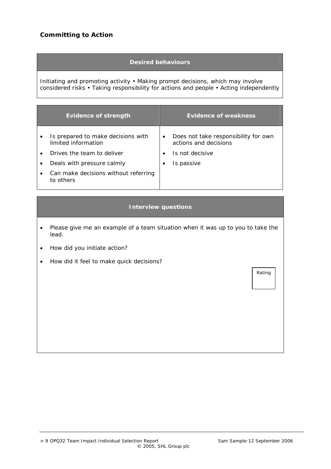# **Committing to Action**

### **Desired behaviours**

Initiating and promoting activity • Making prompt decisions, which may involve considered risks • Taking responsibility for actions and people • Acting independently

| <b>Evidence of strength</b>                               |           | <b>Evidence of weakness</b>                                   |
|-----------------------------------------------------------|-----------|---------------------------------------------------------------|
| Is prepared to make decisions with<br>limited information | $\bullet$ | Does not take responsibility for own<br>actions and decisions |
| Drives the team to deliver                                |           | Is not decisive                                               |
| Deals with pressure calmly                                |           | Is passive                                                    |
| Can make decisions without referring<br>to others         |           |                                                               |

#### **Interview questions**

- Please give me an example of a team situation when it was up to you to take the lead.
- How did you initiate action?
- How did it feel to make quick decisions?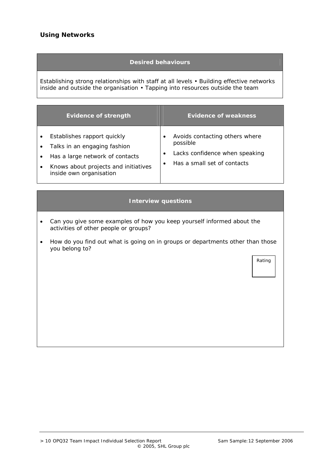# **Using Networks**

### **Desired behaviours**

Establishing strong relationships with staff at all levels • Building effective networks inside and outside the organisation • Tapping into resources outside the team

| <b>Evidence of strength</b> |                                                                                                                                                                   | <b>Evidence of weakness</b> |                                                                                                             |
|-----------------------------|-------------------------------------------------------------------------------------------------------------------------------------------------------------------|-----------------------------|-------------------------------------------------------------------------------------------------------------|
|                             | Establishes rapport quickly<br>Talks in an engaging fashion<br>Has a large network of contacts<br>Knows about projects and initiatives<br>inside own organisation |                             | Avoids contacting others where<br>possible<br>Lacks confidence when speaking<br>Has a small set of contacts |

### **Interview questions**

- Can you give some examples of how you keep yourself informed about the activities of other people or groups?
- How do you find out what is going on in groups or departments other than those you belong to?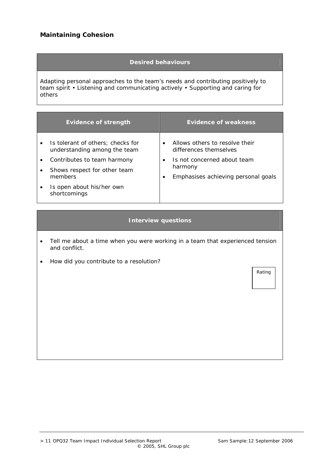# **Maintaining Cohesion**

### **Desired behaviours**

Adapting personal approaches to the team's needs and contributing positively to team spirit • Listening and communicating actively • Supporting and caring for others

|           | <b>Evidence of strength</b>                                       |           | <b>Evidence of weakness</b>                              |
|-----------|-------------------------------------------------------------------|-----------|----------------------------------------------------------|
| $\bullet$ | Is tolerant of others; checks for<br>understanding among the team | $\bullet$ | Allows others to resolve their<br>differences themselves |
|           | Contributes to team harmony                                       | $\bullet$ | Is not concerned about team<br>harmony                   |
|           | Shows respect for other team<br>members                           | $\bullet$ | Emphasises achieving personal goals                      |
|           | Is open about his/her own<br>shortcomings                         |           |                                                          |

### **Interview questions**

- Tell me about a time when you were working in a team that experienced tension and conflict.
- How did you contribute to a resolution?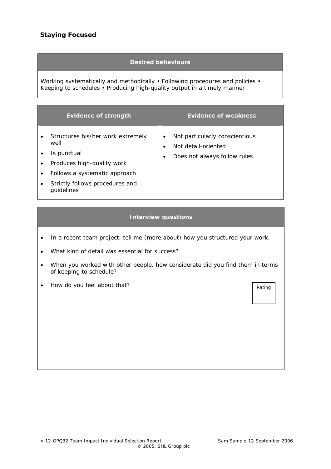### **Desired behaviours**

Working systematically and methodically • Following procedures and policies • Keeping to schedules • Producing high-quality output in a timely manner

| <b>Evidence of strength</b>                                                                                                                                              | <b>Evidence of weakness</b>                                                                     |
|--------------------------------------------------------------------------------------------------------------------------------------------------------------------------|-------------------------------------------------------------------------------------------------|
| Structures his/her work extremely<br>well<br>Is punctual<br>Produces high-quality work<br>Follows a systematic approach<br>Strictly follows procedures and<br>guidelines | Not particularly conscientious<br>٠<br>Not detail-oriented<br>Does not always follow rules<br>٠ |

#### **Interview questions**

- In a recent team project, tell me (more about) how you structured your work.
- What kind of detail was essential for success?
- When you worked with other people, how considerate did you find them in terms of keeping to schedule?
- How do you feel about that?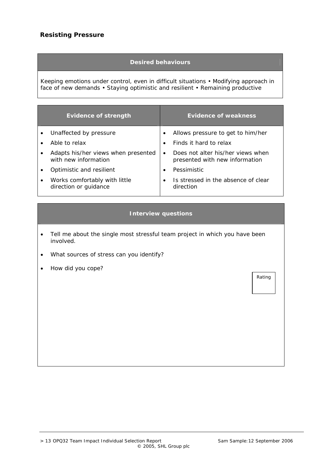### **Desired behaviours**

Keeping emotions under control, even in difficult situations • Modifying approach in face of new demands • Staying optimistic and resilient • Remaining productive

|           | <b>Evidence of strength</b>                                 |           | <b>Evidence of weakness</b>                                         |
|-----------|-------------------------------------------------------------|-----------|---------------------------------------------------------------------|
|           | Unaffected by pressure                                      | ٠         | Allows pressure to get to him/her                                   |
|           | Able to relax                                               | $\bullet$ | Finds it hard to relax                                              |
| $\bullet$ | Adapts his/her views when presented<br>with new information | $\bullet$ | Does not alter his/her views when<br>presented with new information |
|           | Optimistic and resilient                                    | $\bullet$ | Pessimistic                                                         |
| $\bullet$ | Works comfortably with little<br>direction or guidance      | $\bullet$ | Is stressed in the absence of clear<br>direction                    |

### **Interview questions**

- Tell me about the single most stressful team project in which you have been involved.
- What sources of stress can you identify?
- How did you cope?